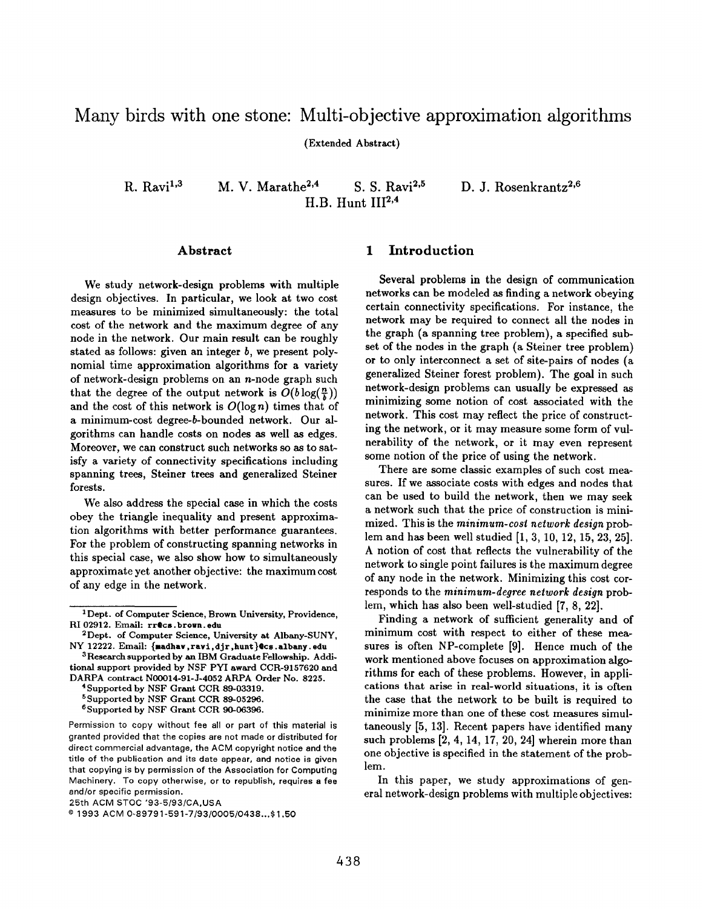# Many birds with one stone: Multi-objective approximation algorithms

(Extended Abstract)

R. Ravi<sup>1,3</sup> M. V. Marathe<sup>2,4</sup> S. S. Ravi<sup>2,5</sup> D. J. Rosenkrantz<sup>2,6</sup> H.B. Hunt  $III^{2,4}$ 

#### Abstract

We study network-design problems with multiple design objectives. In particular, we look at two cost measures to be minimized simultaneously: the total cost of the network and the maximum degree of any node in the network. Our main result can be roughly stated as follows: given an integer  $b$ , we present polynomial time approximation algorithms for a variety of network-design problems on an  $n$ -node graph such that the degree of the output network is  $O(b \log(\frac{n}{k}))$ and the cost of this network is  $O(\log n)$  times that of a minimum-cost degree-b-bounded network. Our algorithms can handle costs on nodes as well as edges. Moreover, we can construct such networks so as to satisfy a variety of connectivity specifications including spanning trees, Steiner trees and generalized Steiner forests.

We also address the special case in which the costs obey the triangle inequality and present approximation algorithms with better performance guarantees. For the problem of constructing spanning networks in this special case, we also show how to simultaneously approximate yet another objective: the maximum cost of any edge in the network.

## 1 Introduction

Several problems in the design of communication networks can be modeled as finding a network obeying certain connectivity specifications. For instance, the network may be required to connect all the nodes in the graph (a apanning tree problem), a specified subset of the nodea in the graph (a Steiner tree problem) or to only interconnect a set of site-pairs of nodes (a generalized Steiner forest problem). The goal in such network-design problems can usually be expressed aa minimizing some notion of cost associated with the network. This cost may reflect the price of constructing the network, or it may measure some form of vulnerability of the network, or it may even represent some notion of the price of using the network.

There are some classic examples of such cost measures. If we associate costs with edges and nodes that can be used to build the network, then we may seek a network such that the price of construction is minimized. This is the minimum-cost network design problem and has been well studied [1, 3, 10, 12,15,23, 25]. A notion of cost that reflects the vulnerability of the network to single point failures is the maximum degree of any node in the network. Minimizing this cost corresponds to the minimum-degree network design problem, which has also been well-studied [7, 8, 22].

Finding a network of sufficient generality and of minimum cost with respect to either of these measures is often NP-complete [9]. Hence much of the work mentioned above focuses on approximation algorithms for each of these problems, However, in applications that arise in real-world situations, it is often the case that the network to be built is required to minimize more than one of these cost measures simultaneously [5, 13]. Recent papers have identified many such problems [2, 4, 14, 17, 20, 24] wherein more than one objective ia specified in the statement of the problem.

In this paper, we study approximations of general network-design problems with multiple objectives:

<sup>1</sup>Dept. of Computer Science, Brown University, Providence, RI 02912. Email: rr@cs.brown.edu

<sup>2</sup>Dept. of Computer Science, University at Albany-SUNY, NY 12222. Email: {madhav,ravi,djr,hunt}@cs.albany.edu

<sup>&</sup>lt;sup>3</sup>Research supported by an IBM Graduate Fellowship. Additional support provided by NSF PYI award CCR-9157620 and DARPA contract NOO014-91-J-4052 ARPA Order No. S225.

<sup>&</sup>lt;sup>4</sup>Supported by NSF Grant CCR 89-03319.

<sup>5</sup>Supported by NSF Grant CCR 89-05296.

<sup>6</sup>Supported by NSF Grant CCR 90-06396.

Permission to copy without fee all or part of this material is granted provided that the copies are not made or distributed for direct commercial advantage, the ACM copyright notice and the title of the publication and its date appear, and notice is given that copying is by permission of the Association for Computing Machinery. To copy otherwise, or to republish, requires a fee and/or specific permission.

<sup>25</sup>th ACM STOC '93-5/93/CA,USA

o 1993 ACM 0-S9791 -591 -7193 /0005 /043 S... \$ 1.50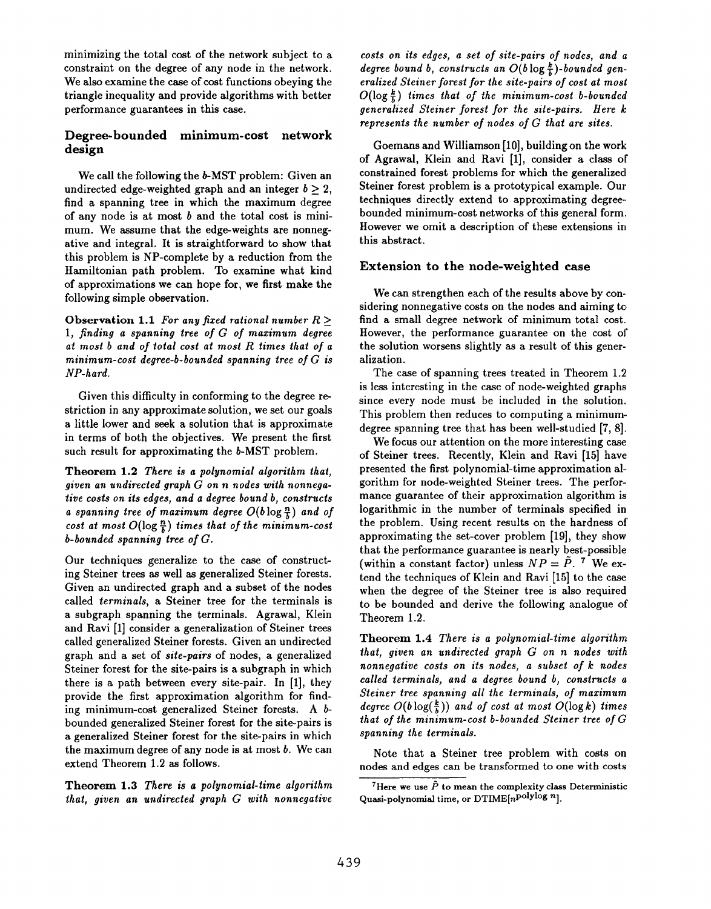minimizing the total cost of the network subject to a constraint on the degree of any node in the network. We also examine the case of cost functions obeying the triangle inequality and provide algorithms with better performance guarantees in this case.

# Degree-bounded minimum-cost network design

We call the following the b-MST problem: Given an undirected edge-weighted graph and an integer  $b \geq 2$ , find a spanning tree in which the maximum degree of any node is at most  $b$  and the total cost is minimum. We assume that the edge-weights are nonnegative and integral. It is straightforward to show that this problem is NP-complete by a reduction from the Hamiltonian path problem. To examine what kind of approximations we can hope for, we first make the following simple observation.

Observation 1.1 For any fixed rational number  $R >$ 1, finding a spanning tree of  $G$  of maximum degree at most b and of total cost at most R times that of a minimum-cost degree-b-bounded spanning tree of G is NP-hard.

Given this difficulty in conforming to the degree restriction in any approximate solution, we set our goals a little lower and seek a solution that is approximate in terms of both the objectives. We present the first such result for approximating the b-MST problem.

Theorem 1.2 There is a polynomial algorithm that, given an undirected graph G on n nodes with nonnegative costs on its edges, and a degree bound b, constructs a spanning tree of maximum degree  $O(b \log \frac{n}{b})$  and of cost at most  $O(\log \frac{n}{k})$  times that of the minimum-cost b-bounded spanning tree of G.

Our techniques generalize to the case of constructing Steiner trees as well as generalized Steiner forests. Given an undirected graph and a subset of the nodes called terminals, a Steiner tree for the terminals is a subgraph spanning the terminals. Agrawal, Klein and Ravi [1] consider a generalization of Steiner trees called generalized Steiner forests. Given an undirected graph and a set of site-pairs of nodes, a generalized Steiner forest for the site-pairs is a subgraph in which there is a path between every site-pair. In [1], they provide the first approximation algorithm for finding minimum-cost generalized Steiner forests. A b bounded generalized Steiner forest for the site-pairs is a generalized Steiner forest for the site-pairs in which the maximum degree of any node is at most  $b$ . We can extend Theorem 1.2 as follows.

Theorem 1.3 There is a polynomial-time algorithm that, given an undirected graph G with nonnegative

 $costs$  on its edges, a set of site-pairs of nodes, and  $a$ degree bound b, constructs an  $O(b \log \frac{k}{b})$ -bounded generalized Steiner forest for the site-pairs of cost at most  $O(\log \frac{k}{k})$  times that of the minimum-cost b-bounded generalized Steiner forest for the site-pairs. Here k: represents the number of nodes of G that are sites.

Goemans and Williamson [10], building on the work of Agrawal, Klein and Ravi [1], consider a class of constrained forest problems for which the generalized Steiner forest problem is a prototypical example. Our techniques directly extend to approximating degree bounded minimum-cost networks of this general form. However we omit a description of these extensions in this abstract.

## Extension to the node-weighted case

We can strengthen each of the results above by considering nonnegative costs on the nodes and aiming to find a small degree network of minimum total cost, However, the performance guarantee on the cost of the solution worsens slightly as a result of this generalization.

The case of spanning trees treated in Theorem 1.2 is less interesting in the case of node-weighted graphs since every node must be included in the solution. This problem then reduces to computing a minimumdegree spanning tree that has been well-studied [7, 8].

We focus our attention on the more interesting case of Steiner trees. Recently, Klein and Ravi [15] have presented the first polynomial-time approximation algorithm for node-weighted Steiner trees. The performance guarantee of their approximation algorithm is logarithmic in the number of terminals specified in the problem. Using recent results on the hardness of approximating the set-cover problem [19], they show that the performance guarantee is nearly best-possible (within a constant factor) unless  $NP = \tilde{P}$ . <sup>7</sup> We extend the techniques of Klein and Ravi [15] to the case when the degree of the Steiner tree is also required to be bounded and derive the following analogue of Theorem 1.2.

Theorem 1.4 There is a polynomial-time algorithm that, given an undirected graph G on n nodes with nonnegative costs on its nodes, a subset of k nodes called terminals, and a degree bound b, constructs a Steiner tree spanning all the terminals, of maximum degree  $O(b \log(\frac{k}{k}))$  and of cost at most  $O(\log k)$  times that of the minimum-cost b-bounded Steiner tree of G spanning the terminals.

Note that a Steiner tree problem with costs on nodes and edges can be transformed to one with costs

<sup>&</sup>lt;sup>7</sup>Here we use  $\tilde{P}$  to mean the complexity class Deterministic Quasi-polynomial time, or  $DTIME[n^{polylog n}].$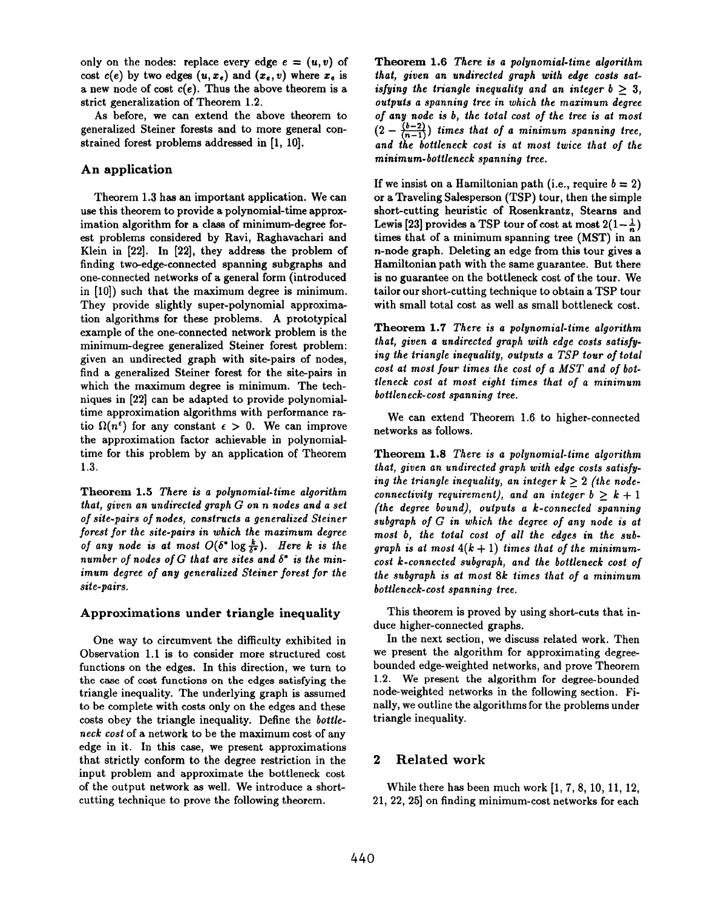only on the nodes: replace every edge  $e = (u, v)$  of cost  $c(e)$  by two edges  $(u, x_e)$  and  $(x_e, v)$  where  $x_e$  is a new node of cost  $c(e)$ . Thus the above theorem is a strict generalization of Theorem 1.2.

As before, we can extend the above theorem to generalized Steiner forests and to more general constrained forest problems addressed in [1, 10].

## An application

Theorem 1.3 has an important application. We can use this theorem to provide a polynomial-time approximation algorithm for a class of minimum-degree forest problems considered by Ravi, Raghavachari and Klein in [22]. In [22], they address the problem of finding two-edge-connected spanning subgraphs and one-connected networks of a general form (introduced in [10]) such that the maximum degree is minimum. They provide slightly super-polynomial approximation algorithms for these problems. A prototypical example of the one-connected network problem is the minimum-degree generalized Steiner forest problem: given an undirected graph with site-pairs of nodea, find a generalized Steiner forest for the site-pairs in which the maximum degree is minimum. The techniques in [22] can be adapted to provide polynomialtime approximation algorithms with performance ratio  $\Omega(n^{\epsilon})$  for any constant  $\epsilon > 0$ . We can improve the approximation factor achievable in polynomialtime for this problem by an application of Theorem 1.3.

Theorem 1.5 There is a polynomial-time algorithm that, given an undirected graph G on n nodes and a set of site-pairs of nodes, constructs a generalized Steiner forest for the site-pairs in which the maximum degree of any node is at most  $O(\delta^* \log \frac{k}{\delta^*})$ . Here k is the number of nodes of G that are sites and  $\delta^*$  is the minimum degree of any generalized Steiner forest for the site-pairs.

#### Approximations under triangle inequality

One way to circumvent the difficulty exhibited in Observation 1.1 is to consider more structured cost functions on the edges. In this direction, we turn to the case of cost functions on the edges satisfying the triangle inequality. The underlying graph is assumed to be complete with costs only on the edges and these costs obey the triangle inequality. Define the bottleneck cost of a network to be the maximum cost of any edge in it. In this case, we present approximations that strictly conform to the degree restriction in the input problem and approximate the bottleneck cost of the output network as well. We introduce a shortcutting technique to prove the following theorem.

Theorem 1.6 There is a polynomial-time algorithm that, given an undirected graph with edge costs satisfying the triangle inequality and an integer  $b \geq 3$ , outputs a spanning tree in which the maximum degree of any node is b, the total cost of the tree is at most  $(2 - \frac{(b-2)}{(n-1)})$  times that of a minimum spanning tree, and the bottleneck cost is at most twice that of the minimum-bottleneck spanning tree.

If we insist on a Hamiltonian path (i.e., require  $b = 2$ ) or a Traveling Salesperson (TSP) tour, then the simple short-cutting heuristic of Rosenkrantz, Stearns and Lewis [23] provides a TSP tour of cost at most  $2(1-\frac{1}{n})$ times that of a minimum spanning tree (MST) in an n-node graph. Deleting an edge from this tour gives a Hamiltonian path with the same guarantee. But there is no guarantee on the bottleneck cost of the tour. We tailor our short-cutting technique to obtain a TSP tour with small total cost as well as small bottleneck cost.

Theorem 1.7 There is a polynomial-time algorithm that, given a undirected graph with edge costs satisfying the triangle inequality, outputs a TSP tour of total cost at most four times the cost of a MST and of bottleneck cost at most eight times that of a minimum bottleneck-cost spanning tree.

We can extend Theorem 1.6 to higher-connected networks as follows.

Theorem 1.8 There is a polynomial-time algorithm that, given an undirected graph with edge costs satisfying the triangle inequality, an integer  $k > 2$  (the nodeconnectivity requirement), and an integer  $b \geq k+1$ (the degree bound), outputs a k-connected spanning subgraph of G in which the degree of any node is at most b, the total cost of all the edges in the subgraph is at most  $4(k + 1)$  times that of the minimumcost k-connected subgraph, and the bottleneck cost of the subgraph is at most 8k times that of a minimum bottleneck-cost spanning tree.

This theorem is proved by using short-cuts that induce higher-connected graphs.

In the next section, we discuss related work. Then we present the algorithm for approximating degreebounded edge-weighted networks, and prove Theorem 1.2. We present the algorithm for degree-bounded node-weighted networks in the following section. Finally, we outline the algorithms for the problems under triangle inequality.

## 2 Related work

While there has been much work [1, 7, 8, 10, 11, 12, 21, 22, 25] on finding minimum-cost networks for each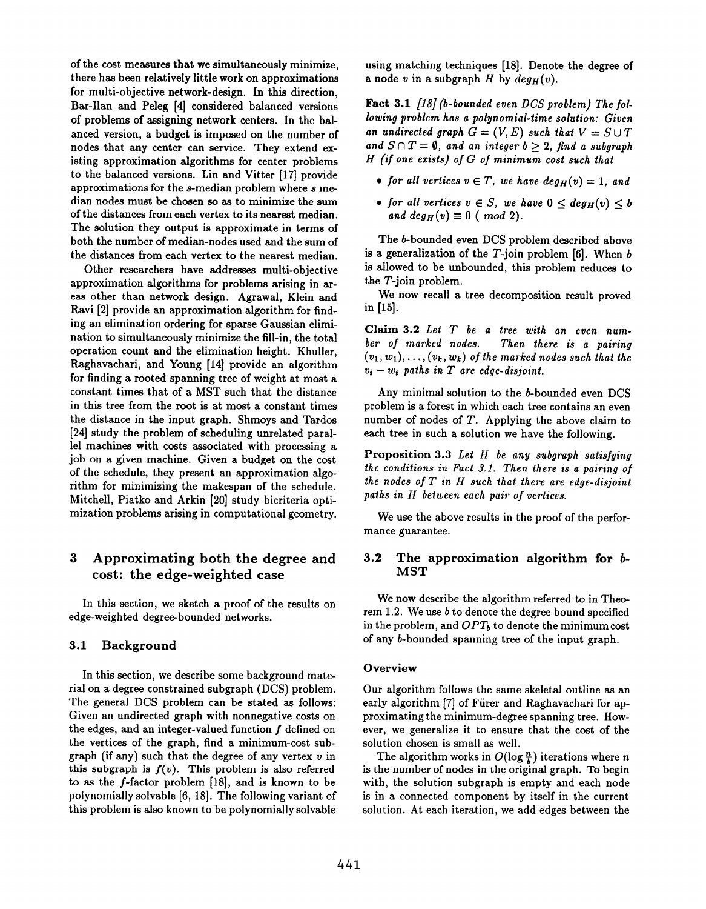of the cost measures that we simultaneously minimize, there has been relatively little work on approximations for multi-objective network-design. In this direction, Bar-Ilan and Peleg [4] considered balanced versions of problems of assigning network centers. In the balanced version, a budget is imposed on the number of nodes that any center can service. They extend existing approximation algorithms for center problems to the balanced versions. Lin and Vitter [17] provide approximations for the s-median problem where s median nodes must be chosen so as to minimize the sum of the distances from each vertex to its nearest median. The solution they output is approximate in terms of both the number of median-nodes used and the sum of the distances from each vertex to the nearest median.

Other researchers have addresses multi-objective approximation algorithms for problems arising in areas other than network design. Agrawal, Klein and Ravi [2] provide an approximation algorithm for finding an elimination ordering for sparse Gaussian elimination to simultaneously minimize the fill-in, the total operation count and the elimination height. Khuller, Raghavachari, and Young [14] provide an algorithm for finding a rooted spanning tree of weight at most a constant times that of a MST such that the distance in this tree from the root is at most a constant times the distance in the input graph. Shmoys and Tardos [24] study the problem of scheduling unrelated parallel machines with costs associated with processing a job on a given machine. Given a budget on the cost of the schedule, they present an approximation algorithm for minimizing the makespan of the schedule. Mitchell, Piatko and Arkin [20] study bicriteria optimization problems arising in computational geometry.

# 3 Approximating both the degree and cost: the edge-weighted case

In this section, we sketch a proof of the results on edge-weighted degree-bounded networks.

## 3.1 Background

In this section, we describe some background material on a degree constrained subgraph (DCS) problem. The general DCS problem can be stated as follows: Given an undirected graph with nonnegative costs on the edges, and an integer-valued function  $f$  defined on the vertices of the graph, find a minimum-cost subgraph (if any) such that the degree of any vertex  $v$  in this subgraph is  $f(v)$ . This problem is also referred to as the f-factor problem [18], and is known to be polynomially solvable [6, 18]. The following variant of this problem is also known to be polynomially solvable using matching techniques [18]. Denote the degree of a node v in a subgraph H by  $deg_H(v)$ .

Fact 3.1 [18] (b-bounded even DCS problem) The following problem has a polynomial-time solution: Given an undirected graph  $G = (V, E)$  such that  $V = S \cup T$ and  $S \cap T = \emptyset$ , and an integer  $b > 2$ , find a subgraph H (if one exists) of G of minimum cost such that

- for all vertices  $v \in T$ , we have  $deg_H(v) = 1$ , and
- for all vertices  $v \in S$ , we have  $0 \leq \deg_H(v) \leq b$ and  $deg_H(v) \equiv 0$  (mod 2).

The b-bounded even DCS problem described above is a generalization of the  $T$ -join problem [6]. When  $b$ is allowed to be unbounded, this problem reduces to the T-join problem.

We now recall a tree decomposition result proved in [15].

Claim 3.2 Let  $T$  be a tree with an even number of marked nodes. Then there is a pairing  $(v_1, w_1), \ldots, (v_k, w_k)$  of the marked nodes such that the  $v_i - w_i$  paths in T are edge-disjoint.

Any minimal solution to the b-bounded even DCS problem is a forest in which each tree contains an even number of nodes of T. Applying the above claim to each tree in such a solution we have the following.

Proposition 3.3 Let H be any subgraph satisfying the conditions in Fact 3.1. Then there is a pairing of the nodes of  $T$  in  $H$  such that there are edge-disjoint paths in H between each pair of vertices.

We use the above results in the proof of the performance guarantee.

#### 3.2 The approximation algorithm for  $b$ -MST

We now describe the algorithm referred to in Theorem 1.2. We use b to denote the degree bound specified in the problem, and  $OPT_b$  to denote the minimum cost of any b-bounded spanning tree of the input graph.

#### **Overview**

Our algorithm follows the same skeletal outline as an early algorithm [7] of Fürer and Raghavachari for approximating the minimum-degree spanning tree. However, we generalize it to ensure that the cost of the solution chosen is small as well.

The algorithm works in  $O(\log \frac{n}{b})$  iterations where n is the number of nodes in the original graph. To begin with, the solution subgraph is empty and each node is in a connected component by itself in the current solution. At each iteration, we add edges between the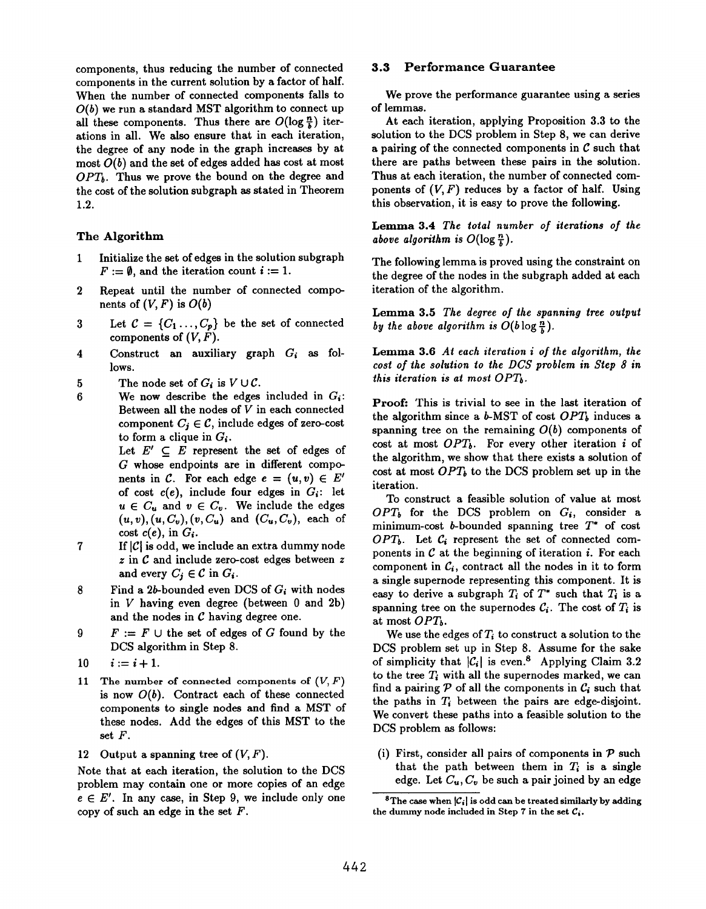components, thus reducing the number of connected components in the current solution by a factor of half. When the number of connected components falls to  $O(b)$  we run a standard MST algorithm to connect up all these components. Thus there are  $O(\log \frac{n}{b})$  iterations in all. We also ensure that in each iteration, the degree of any node in the graph increases by at most  $O(b)$  and the set of edges added has cost at most  $OPT_b$ . Thus we prove the bound on the degree and the cost of the solution subgraph as stated in Theorem 1.2.

## The Algorithm

- 1 Initialize the set of edges in the solution subgraph  $F := \emptyset$ , and the iteration count  $i := 1$ .
- 2 Repeat until the number of connected components of  $(V, F)$  is  $O(b)$
- 3 Let  $C = \{C_1, \ldots, C_p\}$  be the set of connected components of  $(V, F)$ .
- 4 Construct an auxiliary graph  $G_i$  as follows.
- 5 The node set of  $G_i$  is  $V \cup C$ .
- 6 We now describe the edges included in  $G_i$ : Between all the nodes of V in each connected component  $C_i \in \mathcal{C}$ , include edges of zero-cost to form a clique in  $G_i$ .

Let  $E' \subseteq E$  represent the set of edges of G whose endpoints are in different components in C. For each edge  $e = (u, v) \in E'$ of cost  $c(e)$ , include four edges in  $G_i$ : let  $u \in C_u$  and  $v \in C_v$ . We include the edges  $(u, v), (u, C_v), (v, C_u)$  and  $(C_u, C_v)$ , each of cost  $c(e)$ , in  $G_i$ .

- 7 If  $|C|$  is odd, we include an extra dummy node z in C and include zero-cost edges between z and every  $C_j \in \mathcal{C}$  in  $G_i$ .
- 8 Find a 2b-bounded even DCS of  $G_i$  with nodes in V having even degree (between O and 2b) and the nodes in  $C$  having degree one.
- 9  $F := F \cup$  the set of edges of G found by the DCS algorithm in Step 8.
- 10  $i:=i+1.$
- 11 The number of connected components of  $(V, F)$ is now  $O(b)$ . Contract each of these connected components to single nodes and find a MST of these nodes. Add the edges of this MST to the set F.
- 12 Output a spanning tree of  $(V, F)$

Note that at each iteration, the solution to the DCS problem may contain one or more copies of an edge  $e \in E'$ . In any case, in Step 9, we include only one copy of such an edge in the set  $F$ .

#### 3.3 Performance Guarantee

We prove the performance guarantee using a series of lemmas.

At each iteration, applying Proposition 3.3 to the solution to the DCS problem in Step 8, we can derive a pairing of the connected components in  $\mathcal C$  such that there are paths between these pairs in the solution. Thus at each iteration, the number of connected components of  $(V, F)$  reduces by a factor of half. Using this observation, it is essy to prove the following.

Lemma 3.4 The total number of iterations of the above algorithm is  $O(\log \frac{n}{b})$ .

The following lemma is proved using the constraint on the degree of the nodes in the subgraph added at each iteration of the algorithm.

Lemma 3.5 The degree of the spanning tree output by the above algorithm is  $O(b \log \frac{n}{k})$ .

Lemma 3.6 At each iteration i of the algorithm, the cost of the solution to the DCS problem in Step 8 in this iteration is at most  $OPT_b$ .

Proof: This is trivial to see in the last iteration of the algorithm since a  $b$ -MST of cost  $OPT_b$  induces a spanning tree on the remaining  $O(b)$  components of cost at most  $OPT_b$ . For every other iteration i of the algorithm, we show that there exists a solution of cost at most  $OPT_b$  to the DCS problem set up in the iteration.

To construct a feasible solution of value at most  $OPT_b$  for the DCS problem on  $G_i$ , consider a minimum-cost b-bounded spanning tree  $T^*$  of cost  $OPT_b$ . Let  $C_i$  represent the set of connected components in  $C$  at the beginning of iteration  $i$ . For each component in  $C_i$ , contract all the nodes in it to form a single supernode representing this component. It is easy to derive a subgraph  $T_i$  of  $T^*$  such that  $T_i$  is a spanning tree on the supernodes  $\mathcal{C}_i$ . The cost of  $T_i$  is at most  $OPT_h$ .

We use the edges of  $T_i$  to construct a solution to the DCS problem set up in Step 8. Assume for the sake of simplicity that  $|\mathcal{C}_i|$  is even.<sup>8</sup> Applying Claim 3.2 to the tree  $T_i$  with all the supernodes marked, we can find a pairing  $P$  of all the components in  $C_i$  such that the paths in  $T_i$  between the pairs are edge-disjoint. We convert these paths into a feasible solution to the DCS problem as follows:

(i) First, consider all pairs of components in  $P$  such that the path between them in  $T_i$  is a single edge. Let  $C_u$ ,  $C_v$  be such a pair joined by an edge

<sup>&</sup>lt;sup>8</sup>The case when  $|\mathcal{C}_i|$  is odd can be treated similarly by adding the dummy node included in Step 7 in the set  $C_i$ .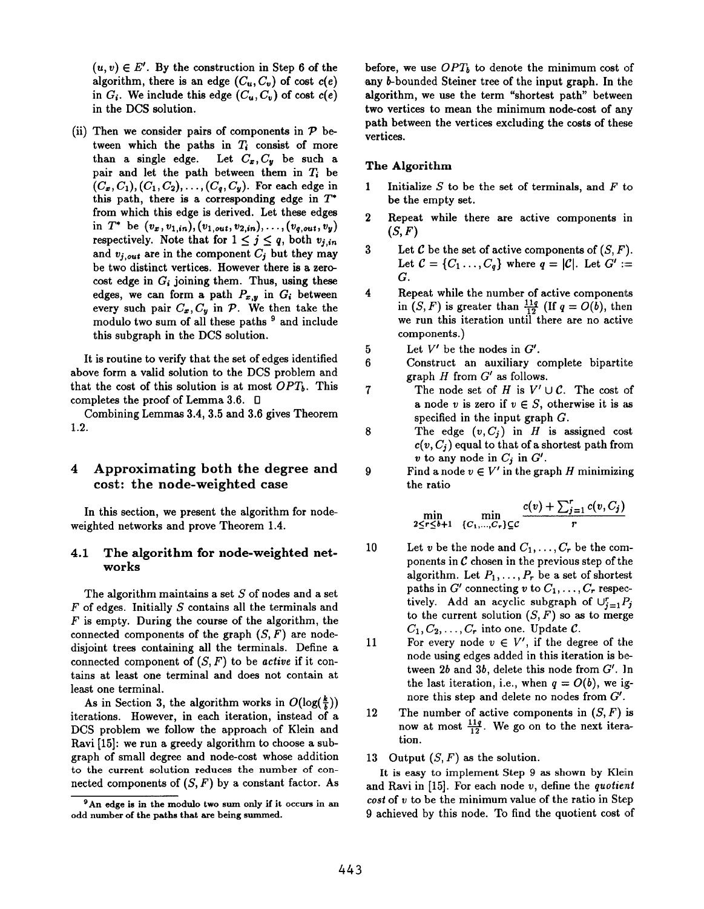$(u, v) \in E'$ . By the construction in Step 6 of the algorithm, there is an edge  $(C_u, C_v)$  of cost  $c(e)$ in  $G_i$ . We include this edge  $(C_u, C_v)$  of cost  $c(e)$ . in the DCS solution.

(ii) Then we consider pairs of components in  $\mathcal P$  between which the paths in  $T_i$  consist of more than a single edge. Let  $C_x, C_y$  be such a pair and let the path between them in  $T_i$  be  $(C_x, C_1), (C_1, C_2), \ldots, (C_q, C_y)$ . For each edge in this path, there is a corresponding edge in  $T^*$ from which this edge is derived. Let these edges in  $T^*$  be  $(v_x, v_{1,in}), (v_{1,out}, v_{2,in}), \ldots, (v_{q,out}, v_y)$ respectively. Note that for  $1 \leq j \leq q$ , both  $v_{j,in}$ and  $v_{j,out}$  are in the component  $C_j$  but they may be two distinct vertices. However there is a zerocost edge in  $G_i$  joining them. Thus, using these edges, we can form a path  $P_{x,y}$  in  $G_i$  between every such pair  $C_x$ ,  $C_y$  in  $\mathcal P$ . We then take the modulo two sum of all these paths <sup>9</sup> and include this subgraph in the DCS solution.

It is routine to verify that the set of edges identified above form a valid solution to the DCS problem and that the cost of this solution is at most  $OPT_b$ . This completes the proof of Lemma 3.6.  $\Box$ 

Combining Lemmas 3.4, 3.5 and 3.6 gives Theorem 1.2.

# 4 Approximating both the degree and cost: the node-weighted case

In this section, we present the algorithm for nodeweighted networks and prove Theorem 1.4.

## 4.1 The algorithm for node-weighted networks

The algorithm maintains a set  $S$  of nodes and a set  $F$  of edges. Initially  $S$  contains all the terminals and  $F$  is empty. During the course of the algorithm, the connected components of the graph  $(S, F)$  are nodedisjoint trees containing all the terminals. Define a connected component of  $(S, F)$  to be active if it contains at least one terminal and does not contain at least one terminal.

As in Section 3, the algorithm works in  $O(\log(\frac{k}{k}))$ iterations. However, in each iteration, instead of a DCS problem we follow the approach of Klein and Ravi [15]: we run a greedy algorithm to choose a subgraph of small degree and node-cost whose addition to the current solution reduces the number of connected components of  $(S, F)$  by a constant factor. As before, we use  $OPT_b$  to denote the minimum cost of any b-bounded Steiner tree of the input graph. In the algorithm, we use the term "shortest path" between two vertices to mean the minimum node-cost of any path between the vertices excluding the costs of these vertices.

#### The Algorithm

8

9

- 1 Initialize S to be the set of terminals, and F to be the empty set.
- 2 Repeat while there are active components in  $(S, F)$
- 3 Let  $\mathcal C$  be the set of active components of  $(S, F)$ . Let  $C = \{C_1 \ldots, C_q\}$  where  $q = |\mathcal{C}|$ . Let  $G' :=$ G.
- 4 Repeat while the number of active components in  $(S, F)$  is greater than  $\frac{1+q}{12}$  (If  $q = O(b)$ , then we run this iteration until there are no activ components. )
- 5 Let  $V'$  be the nodes in  $G'$ .
- 6 Construct an auxiliary complete bipartite graph  $H$  from  $G'$  as follows.
- 7 The node set of H is  $V' \cup C$ . The cost of a node v is zero if  $v \in S$ , otherwise it is as specified in the input graph  $G$ .
	- The edge  $(v, C_j)$  in H is assigned cost  $c(v, C_i)$  equal to that of a shortest path from v to any node in  $C_j$  in  $G'$ .
	- Find a node  $v \in V'$  in the graph H minimizing the ratio

$$
\min_{2 \leq r \leq b+1} \quad \min_{\{C_1,\ldots,C_r\} \subseteq \mathcal{C}} \frac{c(v) + \sum_{j=1}^r c(v,C_j)}{r}
$$

- 10 Let v be the node and  $C_1, \ldots, C_r$  be the components in  $C$  chosen in the previous step of the algorithm. Let  $P_1, \ldots, P_r$  be a set of shortest paths in  $G'$  connecting v to  $C_1, \ldots, C_r$  respectively. Add an acyclic subgraph of  $\bigcup_{j=1}^r P_j$ to the current solution  $(S, F)$  so as to merge  $C_1, C_2, \ldots, C_r$  into one. Update  $\mathcal{C}$ .
- 11 For every node  $v \in V'$ , if the degree of the node using edges added in this iteration is between  $2b$  and  $3b$ , delete this node from  $G'$ . In the last iteration, i.e., when  $q = O(b)$ , we ignore this step and delete no nodes from G'.
- 12 The number of active components in  $(S, F)$  is now at most  $\frac{11q}{12}$ . We go on to the next iteration.
- 13 Output  $(S, F)$  as the solutio

It is easy to implement Step 9 as shown by Klein and Ravi in  $[15]$ . For each node v, define the quotient  $cost$  of  $v$  to be the minimum value of the ratio in Step 9 achieved by this node. To find the quotient cost of

 $9$ An edge is in the modulo two sum only if it occurs in an odd number of the paths that are being summed.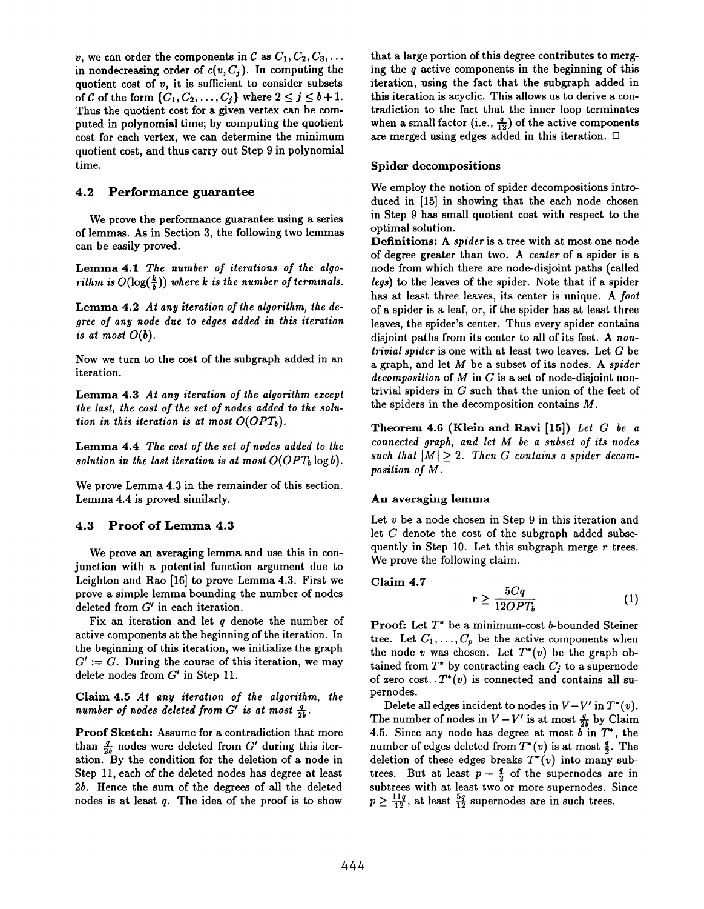v, we can order the components in C as  $C_1, C_2, C_3, \ldots$ in nondecreasing order of  $c(v, C_j)$ . In computing the quotient cost of  $v$ , it is sufficient to consider subsets of C of the form  $\{C_1, C_2, \ldots, C_j\}$  where  $2 \leq j \leq b+1$ . Thus the quotient cost for a given vertex can be computed in polynomial time; by computing the quotient cost for each vertex, we can determine the minimum quotient cost, and thus carry out Step 9 in polynomial time.

#### 4.2 Performance guarantee

We prove the performance guarantee using a series of lemmas. As in Section 3, the following two lemmas can be easily proved.

Lemma 4.1 The number of iterations of the algorithm is  $O(\log(\frac{k}{\hbar}))$  where k is the number of terminals.

Lemma 4.2 At any iteration of the algorithm, the degree of any node due to edges added in this iteration is at most  $O(b)$ .

Now we turn to the cost of the subgraph added in an iteration.

Lemma 4.3 At any iteration of the algorithm except the last, the cost of the set of nodes added to the solution in this iteration is at most  $O(OPT<sub>b</sub>)$ .

Lemma 4.4 The cost of the set of nodes added to the solution in the last iteration is at most  $O(OPT_b \log b)$ .

We prove Lemma 4.3 in the remainder of this section. Lemma 4.4 is proved similarly.

## 4.3 Proof of Lemma 4.3

We prove an averaging lemma and use this in conjunction with a potential function argument due to Leighton and Rao [16] to prove Lemma 4.3. First we prove a simple lemma bounding the number of nodes deleted from G' in each iteration.

Fix an iteration and let  $q$  denote the number of active components at the beginning of the iteration. In the beginning of this iteration, we initialize the graph  $G' := G$ . During the course of this iteration, we may delete nodes from G' in Step 11.

Claim 4.5 At any iteration of the algorithm, the number of nodes deleted from G' is at most  $\frac{q}{2b}$ .

Proof Sketch: Assume for a contradiction that more than  $\frac{q}{2b}$  nodes were deleted from G' during this iteration. By the condition for the deletion of a node in Step 11, each of the deleted nodes haa degree at least 2b. Hence the sum of the degrees of all the deleted nodes is at least  $q$ . The idea of the proof is to show

that a large portion of this degree contributes to merging the  $q$  active components in the beginning of this iteration, using the fact that the subgraph added in this iteration is acyclic. This allows us to derive a contradiction to the fact that the inner loop terminates when a small factor (i.e.,  $\frac{q}{12}$ ) of the active components are merged using edges added in this iteration.  $\Box$ 

#### Spider decompositions

We employ the notion of spider decompositions introduced in [15] in showing that the each node chosen in Step 9 has small quotient cost with respect to the optimal solution.

Definitions: A spider is a tree with at most one node of degree greater than two. A center of a spider is a node from which there are node-disjoint paths (called legs) to the leaves of the spider. Note that if a spider has at least three leaves, its center is unique. A foot of a spider is a leaf, or, if the spider has at least three leaves, the spider's center. Thus every spider contains disjoint paths from its center to all of its feet. A nontrivial spider is one with at least two leaves. Let  $G$  be a graph, and let  $M$  be a subset of its nodes. A spider decomposition of  $M$  in  $G$  is a set of node-disjoint nontrivial spiders in G such that the union of the feet of the spiders in the decomposition contains M.

Theorem 4.6 (Klein and Ravi [15]) Let G be a connected graph, and let M be a subset of its nodes such that  $|M| \geq 2$ . Then G contains a spider decomposition of M.

#### An averaging lemma

Let v be a node chosen in Step 9 in this iteration and let  $C$  denote the cost of the subgraph added subsequently in Step 10. Let this subgraph merge  $r$  trees. We prove the following claim.

#### Claim 4.7

$$
r \ge \frac{5Cq}{12OPT_b} \tag{1}
$$

**Proof:** Let  $T^*$  be a minimum-cost b-bounded Steiner tree. Let  $C_1, \ldots, C_p$  be the active components when the node v was chosen. Let  $T^*(v)$  be the graph obtained from  $T^*$  by contracting each  $C_j$  to a supernode of zero cost.  $T^*(v)$  is connected and contains all supernodes.

Delete all edges incident to nodes in  $V-V'$  in  $T^*(v)$ . The number of nodes in  $V - V'$  is at most  $\frac{q}{2b}$  by Claim 4.5. Since any node has degree at most  $\overline{b}$  in  $T^*$ , the number of edges deleted from  $T^*(v)$  is at most  $\frac{q}{2}$ . The deletion of these edges breaks  $T^*(v)$  into many subtrees. But at least  $p - \frac{q}{2}$  of the supernodes are in subtrees with at least two or more supernodes. Since  $p \geq \frac{2}{12}$ , at feast  $\frac{2}{12}$  supernodes are in such trees.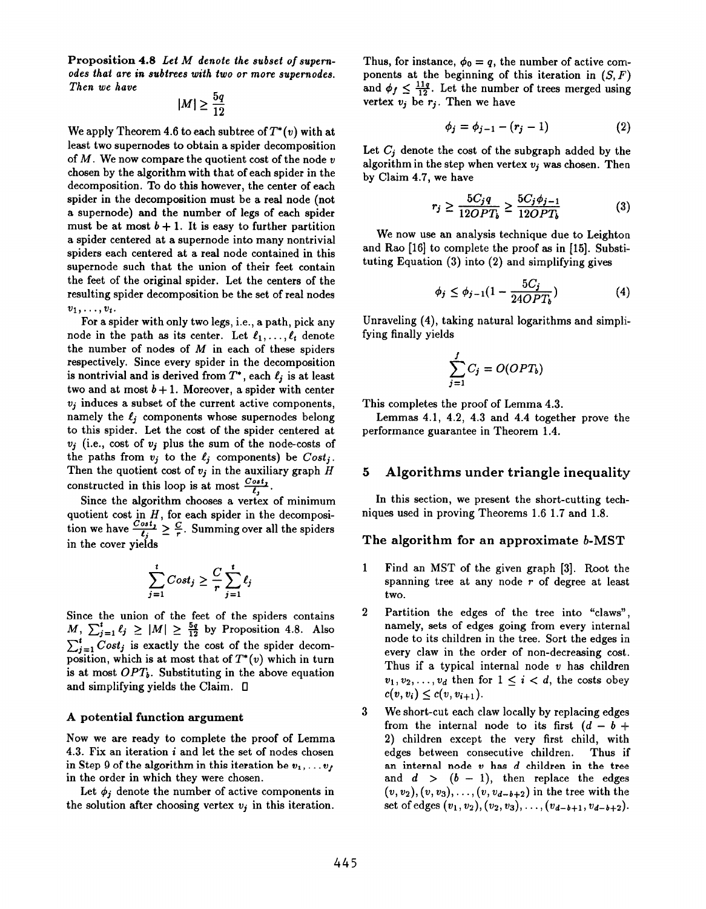Proposition 4.8 Let M denote the subset of supernodes that are in subtrees with two or more supernodes. Then we have

$$
|M| \geq \frac{5q}{12}
$$

We apply Theorem 4.6 to each subtree of  $T^*(v)$  with at least two supernodea to obtain a spider decomposition of  $M$ . We now compare the quotient cost of the node  $v$ chosen by the algorithm with that of each spider in the decomposition. To do this however, the center of each spider in the decomposition must be a real node (not a supernode) and the number of legs of each spider must be at most  $b + 1$ . It is easy to further partition a spider centered at a supernode into many nontrivial spiders each centered at a real node contained in this supernode such that the union of their feet contain the feet of the original spider. Let the centers of the resulting spider decomposition be the set of real nodes  $v_1, \ldots, v_t$ .

For a spider with only two legs, i.e., a path, pick any node in the path as its center. Let  $\ell_1, \ldots, \ell_t$  denote the number of nodes of  $M$  in each of these spiders respectively. Since every spider in the decomposition is nontrivial and is derived from  $T^*$ , each  $\ell_j$  is at least two and at most  $b + 1$ . Moreover, a spider with center  $v_j$  induces a subset of the current active components, namely the  $\ell_i$  components whose supernodes belong to this spider. Let the cost of the spider centered at  $v_j$  (i.e., cost of  $v_j$  plus the sum of the node-costs of the paths from  $v_j$  to the  $\ell_j$  components) be  $Cost_j$ . Then the quotient cost of  $v_j$  in the auxiliary graph  $E$ constructed in this loop is at most  $\tilde{\mathbf{r}}$ 

Since the algorithm chooses a vertex of minimu quotient cost in  $H$ , for each spider in the decomposition we have  $\frac{Cost_i}{t_i} \geq \frac{C}{r}$ . Summing over all the spiders in the cover yields

$$
\sum_{j=1}^t Cost_j \geq \frac{C}{r} \sum_{j=1}^t \ell_j
$$

Since the union of the feet of the spiders contains  $M, \sum_{j=1}^{t} \ell_j \geq |M| \geq \frac{5q}{12}$  by Proposition 4.8. Also  $\sum_{i=1}^{t} Cost_j$  is exactly the cost of the spider decomposition, which is at most that of  $T^*(v)$  which in turn is at most  $OPT_b$ . Substituting in the above equation and simplifying yields the Claim.  $\Box$ 

#### A potential function argument

Now we are ready to complete the proof of Lemma 4.3. Fix an iteration i and let the set of nodes chosen in Step 9 of the algorithm in this iteration be  $v_1, \ldots v_f$ in the order in which they were chosen.

Let  $\phi_j$  denote the number of active components in the solution after choosing vertex  $v_j$  in this iteration. Thus, for instance,  $\phi_0 = q$ , the number of active components at the beginning of this iteration in  $(S, F)$ and  $\phi_f \leq \frac{11q}{12}$ . Let the number of trees merged using vertex  $v_j$  be  $r_j$ . Then we have

$$
\phi_j = \phi_{j-1} - (r_j - 1) \tag{2}
$$

Let  $C_j$  denote the cost of the subgraph added by the algorithm in the step when vertex  $v_i$  was chosen. Then by Claim 4.7, we have

$$
r_j \ge \frac{5C_j q}{12OPT_b} \ge \frac{5C_j \phi_{j-1}}{12OPT_b} \tag{3}
$$

We now use an analysis technique due to Leighton and Rao [16] to complete the proof as in [15]. Substituting Equation (3) into (2) and simplifying gives

$$
\phi_j \le \phi_{j-1}(1 - \frac{5C_j}{24OPT_b})\tag{4}
$$

Unraveling (4), taking natural logarithms and simplifying finally yields

$$
\sum_{j=1}^{J} C_j = O(OPT_b)
$$

This completes the proof of Lemma 4.3.

Lemmas 4.1, 4.2, 4.3 and 4.4 together prove the performance guarantee in Theorem 1.4.

# 5 Algorithms under triangle inequality

In this section, we present the short-cutting techniques used in proving Theorems 1.61.7 and 1.8.

#### The algorithm for an approximate b-MST

- 1 Find an MST of the given graph [3]. Root the spanning tree at any node  $r$  of degree at least two.
- 2 Partition the edges of the tree into "claws", namely, sets of edges going from every internal node to its children in the tree. Sort the edges in every claw in the order of non-decreasing cost. Thus if a typical internal node  $v$  has children  $v_1, v_2, \ldots, v_d$  then for  $1 \leq i < d$ , the costs obey  $c(v, v_i) \leq c(v, v_{i+1}).$
- 3 We short-cut each claw locally by replacing edges from the internal node to its first  $(d - b +$ 2) children except the very first child, with edges between consecutive children. Thus if an internal node  $v$  has  $d$  children in the tree and  $d > (b - 1)$ , then replace the edges  $(v, v_2), (v, v_3), \ldots, (v, v_{d-b+2})$  in the tree with the set of edges  $(v_1, v_2), (v_2, v_3), \ldots, (v_{d-b+1}, v_{d-b+2}).$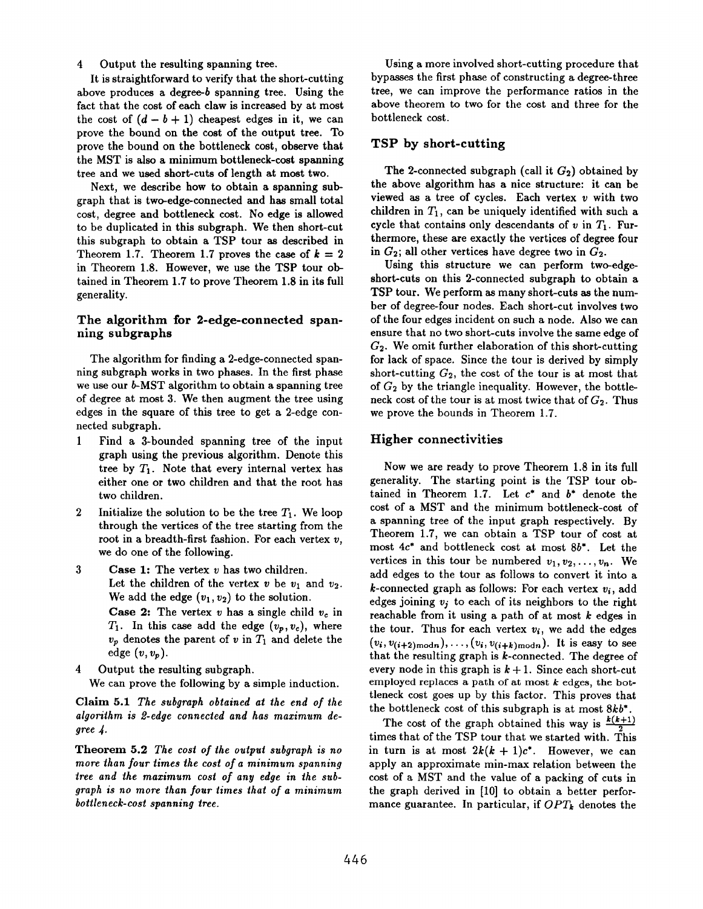#### 4 Output the resulting spanning tree.

It is straightforward to verify that the short-cutting above produces a degree- $b$  spanning tree. Using the fact that the cost of each claw is incressed by at most the cost of  $(d - b + 1)$  cheapest edges in it, we can prove the bound on the cost of the output tree. To prove the bound on the bottleneck cost, observe that the MST is also a minimum bottleneck-cost spanning tree and we used short-cuts of length at most two.

Next, we describe how to obtain a spanning subgraph that is two-edge-connected and has small total cost, degree and bottleneck cost. No edge is allowed to be duplicated in this subgraph. We then short-cut this subgraph to obtain a TSP tour as described in Theorem 1.7. Theorem 1.7 proves the case of  $k = 2$ in Theorem 1.8. However, we use the TSP tour obtained in Theorem 1.7 to prove Theorem 1.8 in its full generality.

#### The algorithm for 2-edge-connected spanning subgraphs

The algorithm for finding a 2-edge-connected spanning subgraph works in two phsses. In the first phase we use our  $b$ -MST algorithm to obtain a spanning tree of degree at most 3. We then augment the tree using edges in the square of this tree to get a 2-edge connected subgraph.

- 1 Find a 3-bounded spanning tree of the input graph using the previous algorithm. Denote this tree by  $T_1$ . Note that every internal vertex has either one or two children and that the root has two children.
- 2 Initialize the solution to be the tree  $T_1$ . We loop through the vertices of the tree starting from the root in a breadth-first fashion. For each vertex  $v$ , we do one of the following.
- 3 **Case 1:** The vertex  $v$  has two children. Let the children of the vertex  $v$  be  $v_1$  and  $v_2$ . We add the edge  $(v_1, v_2)$  to the solution. Case 2: The vertex  $v$  has a single child  $v_c$  in  $T_1$ . In this case add the edge  $(v_p, v_c)$ , where  $v_p$  denotes the parent of v in  $T_1$  and delete the edge  $(v, v_p)$ .
- 4 Output the resulting subgraph.

We can prove the following by a simple induction.

Claim 5.1 The subgraph obtained at the end of the algorithm is 2-edge connected and has maximum degree 4.

Theorem 5.2 The cost of the output subgraph is no more than four times the cost of a minimum spanning tree and the maximum cost of any edge in the subgraph is no more than four times that of a minimum bottleneck-cost spanning tree.

Using a more involved short-cutting procedure that bypasses the first phase of constructing a degree-three tree, we can improve the performance ratios in the above theorem to two for the cost and three for the bottleneck cost.

# TSP by short-cutting

The 2-connected subgraph (call it  $G_2$ ) obtained by the above algorithm has a nice structure: it can be viewed as a tree of cycles. Each vertex  $v$  with two children in  $T_1$ , can be uniquely identified with such a cycle that contains only descendants of  $v$  in  $T_1$ . Furthermore, these are exactly the vertices of degree four in  $G_2$ ; all other vertices have degree two in  $G_2$ .

Using this structure we can perform two-edgeshort-cuts on this 2-connected subgraph to obtain a TSP tour. We perform as many short-cuts as the number of degree-four nodes. Each short-cut involves two of the four edges incident on such a node. Also we can ensure that no two short-cuts involve the same edge of  $G<sub>2</sub>$ . We omit further elaboration of this short-cutting for lack of space. Since the tour is derived by simply short-cutting  $G_2$ , the cost of the tour is at most that of  $G_2$  by the triangle inequality. However, the bottleneck cost of the tour is at most twice that of  $G_2$ . Thus we prove the bounds in Theorem 1.7.

## Higher connectivities

Now we are ready to prove Theorem 1.8 in its full generality. The starting point is the TSP tour obtained in Theorem 1.7. Let  $c^*$  and  $b^*$  denote the cost of a MST and the minimum bottleneck-cost of a spanning tree of the input graph respectively. By Theorem 1.7, we can obtain a TSP tour of cost at most 4c\* and bottleneck cost at most 8b\*. Let the vertices in this tour be numbered  $v_1, v_2, \ldots, v_n$ . We add edges to the tour as follows to convert it into a k-connected graph as follows: For each vertex  $v_i$ , add edges joining  $v_j$  to each of its neighbors to the right reachable from it using a path of at most  $k$  edges in the tour. Thus for each vertex  $v_i$ , we add the edges  $(v_i, v_{(i+2) \text{ mod } n}), \ldots, (v_i, v_{(i+k) \text{ mod } n}).$  It is easy to see that the resulting graph is  $k$ -connected. The degree of every node in this graph is  $k + 1$ . Since each short-cut employed replaces a path of at most  $k$  edges, the bottleneck cost goes up by this factor. This proves that the bottleneck cost of this subgraph is at most  $8kb^*$ .

The cost of the graph obtained this way is  $\frac{k(k+1)}{2}$ times that of the TSP tour that we started with. This in turn is at most  $2k(k + 1)c^*$ . However, we can apply an approximate min-max relation between the cost of a MST and the value of a packing of cuts in the graph derived in [10] to obtain a better performance guarantee. In particular, if  $OPT_k$  denotes the